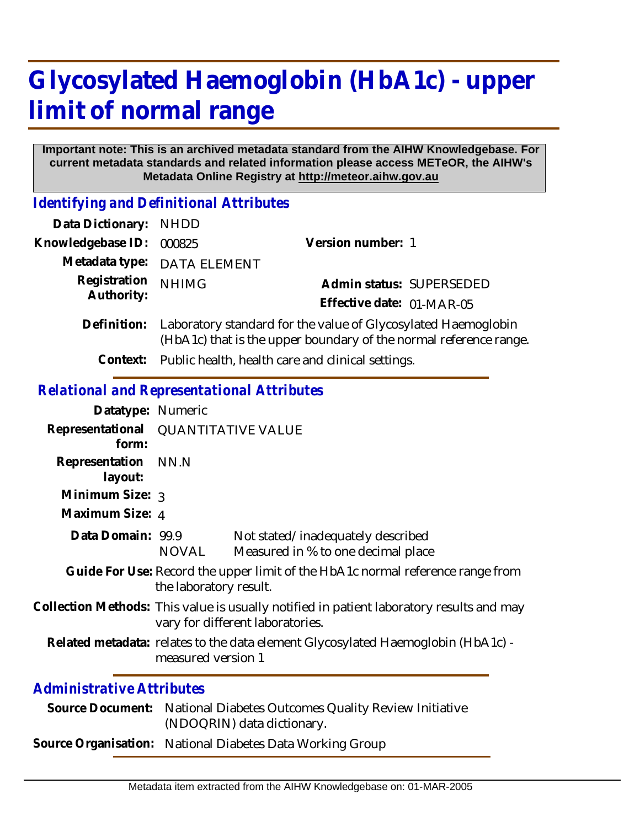## **Glycosylated Haemoglobin (HbA1c) - upper limit of normal range**

## **Important note: This is an archived metadata standard from the AIHW Knowledgebase. For current metadata standards and related information please access METeOR, the AIHW's Metadata Online Registry at http://meteor.aihw.gov.au**

*Identifying and Definitional Attributes*

| Data Dictionary: NHDD      |                                                                                                                                                |                           |                          |
|----------------------------|------------------------------------------------------------------------------------------------------------------------------------------------|---------------------------|--------------------------|
| Knowledgebase ID:          | 000825                                                                                                                                         | Version number: 1         |                          |
|                            | Metadata type: DATA ELEMENT                                                                                                                    |                           |                          |
| Registration<br>Authority: | <b>NHIMG</b>                                                                                                                                   |                           | Admin status: SUPERSEDED |
|                            |                                                                                                                                                | Effective date: 01-MAR-05 |                          |
|                            | Definition: Laboratory standard for the value of Glycosylated Haemoglobin<br>(HbA1c) that is the upper boundary of the normal reference range. |                           |                          |
|                            | Context: Public health, health care and clinical settings.                                                                                     |                           |                          |

## *Relational and Representational Attributes*

| Datatype: Numeric              |                                                                                                                              |                                                                                                     |  |  |
|--------------------------------|------------------------------------------------------------------------------------------------------------------------------|-----------------------------------------------------------------------------------------------------|--|--|
| form:                          | Representational QUANTITATIVE VALUE                                                                                          |                                                                                                     |  |  |
| Representation NN.N<br>layout: |                                                                                                                              |                                                                                                     |  |  |
| Minimum Size: 3                |                                                                                                                              |                                                                                                     |  |  |
| Maximum Size: 4                |                                                                                                                              |                                                                                                     |  |  |
| Data Domain: 99.9              | NOVAL                                                                                                                        | Not stated/inadequately described<br>Measured in % to one decimal place                             |  |  |
|                                | Guide For Use: Record the upper limit of the HbA1c normal reference range from<br>the laboratory result.                     |                                                                                                     |  |  |
|                                | Collection Methods: This value is usually notified in patient laboratory results and may<br>vary for different laboratories. |                                                                                                     |  |  |
|                                | Related metadata: relates to the data element Glycosylated Haemoglobin (HbA1c) -<br>measured version 1                       |                                                                                                     |  |  |
| Administrative Attributes      |                                                                                                                              |                                                                                                     |  |  |
|                                |                                                                                                                              | Source Document: National Diabetes Outcomes Quality Review Initiative<br>(NDOQRIN) data dictionary. |  |  |
|                                |                                                                                                                              |                                                                                                     |  |  |

**Source Organisation:** National Diabetes Data Working Group